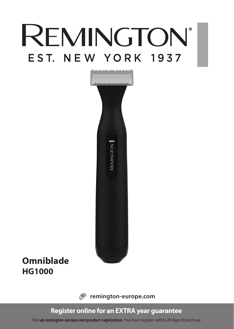# **REMINGTON®** EST. NEW YORK 1937



# **Omniblade HG1000**

 $\mathscr{B}$  remington-europe.com

# **Register online for an EXTRA year guarantee**

Visit **uk.remington-europe.com/product-registration** You must register within 28 days of purchase.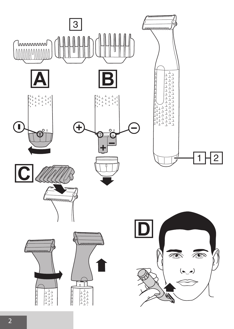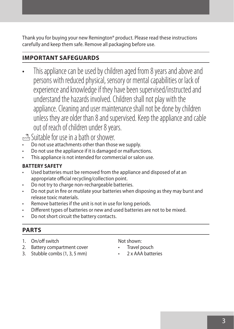Thank you for buying your new Remington® product. Please read these instructions carefully and keep them safe. Remove all packaging before use.

# **IMPORTANT SAFEGUARDS**

This appliance can be used by children aged from 8 years and above and persons with reduced physical, sensory or mental capabilities or lack of experience and knowledge if they have been supervised/instructed and understand the hazards involved. Children shall not play with the appliance. Cleaning and user maintenance shall not be done by children unless they are older than 8 and supervised. Keep the appliance and cable out of reach of children under 8 years.

Suitable for use in a bath or shower.

- Do not use attachments other than those we supply.
- Do not use the appliance if it is damaged or malfunctions.
- This appliance is not intended for commercial or salon use.

#### **BATTERY SAFETY**

- Used batteries must be removed from the appliance and disposed of at an appropriate official recycling/collection point.
- Do not try to charge non-rechargeable batteries.
- Do not put in fire or mutilate your batteries when disposing as they may burst and release toxic materials.
- Remove batteries if the unit is not in use for long periods.
- Different types of batteries or new and used batteries are not to be mixed.
- Do not short circuit the battery contacts.

#### **PARTS**

- 1. On/off switch
- 2. Battery compartment cover
- 3. Stubble combs (1, 3, 5 mm)

Not shown:

- Travel pouch
- 2 x AAA batteries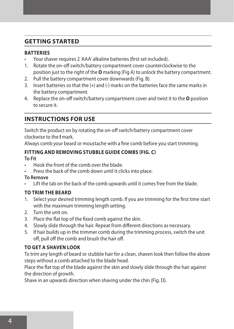#### **GETTING STARTED**

#### **BATTERIES**

- Your shaver requires 2 'AAA' alkaline batteries (first set included).
- 1. Rotate the on-off switch/battery compartment cover counterclockwise to the position just to the right of the **O** marking (Fig A) to unlock the battery compartment.
- 2. Pull the battery compartment cover downwards (Fig. B).
- 3. Insert batteries so that the (+) and (-) marks on the batteries face the same marks in the battery compartment.
- 4. Replace the on-off switch/battery compartment cover and twist it to the **O** position to secure it.

# **INSTRUCTIONS FOR USE**

Switch the product on by rotating the on-off switch/battery compartment cover clockwise to the **I** mark.

Always comb your beard or moustache with a fine comb before you start trimming.

#### **FITTING AND REMOVING STUBBLE GUIDE COMBS (FIG. C)**

#### **To Fit**

- Hook the front of the comb over the blade.
- Press the back of the comb down until it clicks into place.

#### **To Remove**

Lift the tab on the back of the comb upwards until it comes free from the blade.

#### **TO TRIM THE BEARD**

- 1. Select your desired trimming length comb. If you are trimming for the first time start with the maximum trimming length setting.
- 2. Turn the unit on.
- 3. Place the flat top of the fixed comb against the skin.
- 4. Slowly slide through the hair. Repeat from different directions as necessary.
- 5. If hair builds up in the trimmer comb during the trimming process, switch the unit off, pull off the comb and brush the hair off.

#### **TO GET A SHAVEN LOOK**

To trim any length of beard or stubble hair for a clean, shaven look then follow the above steps without a comb attached to the blade head.

Place the flat top of the blade against the skin and slowly slide through the hair against the direction of growth.

Shave in an upwards direction when shaving under the chin (Fig. D).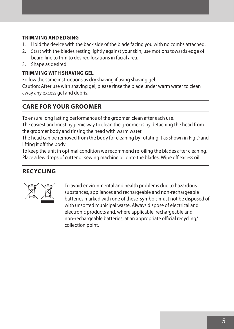#### **TRIMMING AND EDGING**

- 1. Hold the device with the back side of the blade facing you with no combs attached.
- 2. Start with the blades resting lightly against your skin, use motions towards edge of beard line to trim to desired locations in facial area.
- 3. Shape as desired.

#### **TRIMMING WITH SHAVING GEL**

Follow the same instructions as dry shaving if using shaving gel.

Caution: After use with shaving gel, please rinse the blade under warm water to clean away any excess gel and debris.

# **CARE FOR YOUR GROOMER**

To ensure long lasting performance of the groomer, clean after each use.

The easiest and most hygienic way to clean the groomer is by detaching the head from the groomer body and rinsing the head with warm water.

The head can be removed from the body for cleaning by rotating it as shown in Fig D and lifting it off the body.

To keep the unit in optimal condition we recommend re-oiling the blades after cleaning. Place a few drops of cutter or sewing machine oil onto the blades. Wipe off excess oil.

# **RECYCLING**



To avoid environmental and health problems due to hazardous<br>substances, appliances and rechargeable and non-rechargeable<br>batteries marked with one of these symbols must not be dispose<br>with unsorted municipal waste. Always substances, appliances and rechargeable and non-rechargeable batteries marked with one of these symbols must not be disposed of with unsorted municipal waste. Always dispose of electrical and electronic products and, where applicable, rechargeable and non-rechargeable batteries, at an appropriate official recycling/ collection point.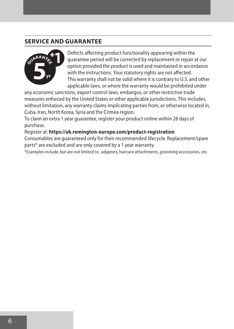# **SERVICE AND GUARANTEE**



Defects affecting product functionality appearing within the guarantee period will be corrected by replacement or repair at our option provided the product is used and maintained in accordance with the instructions. Your statutory rights are not affected. This warranty shall not be valid where it is contrary to U.S. and other applicable laws, or where the warranty would be prohibited under

any economic sanctions, export control laws, embargos, or other restrictive trade measures enforced by the United States or other applicable jurisdictions. This includes, without limitation, any warranty claims implicating parties from, or otherwise located in, Cuba, Iran, North Korea, Syria and the Crimea region.

To claim an extra 1 year guarantee, register your product online within 28 days of purchase.

Register at: **https://uk.remington-europe.com/product-registration**

Consumables are guaranteed only for their recommended lifecycle. Replacement/spare parts\* are excluded and are only covered by a 1 year warranty.

\*Examples include, but are not limited to, adaptors, haircare attachments, grooming accessories, etc.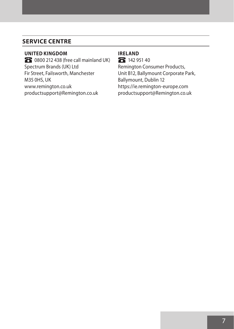# **SERVICE CENTRE**

#### **UNITED KINGDOM**

**G** 0800 212 438 (free call mainland UK) Spectrum Brands (UK) Ltd Fir Street, Failsworth, Manchester M35 0HS, UK www.remington.co.uk productsupport@Remington.co.uk

# **IRELAND**

**G** 142 951 40

Remington Consumer Products, Unit B12, Ballymount Corporate Park, Ballymount, Dublin 12 https://ie.remington-europe.com productsupport@Remington.co.uk